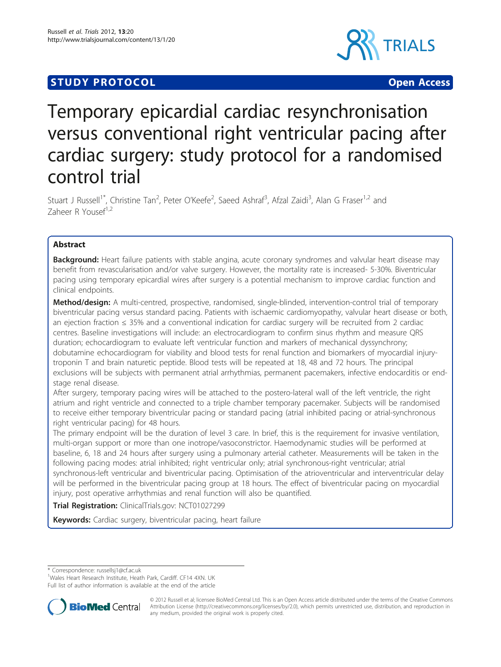# **STUDY PROTOCOL CONSUMING ACCESS**



# Temporary epicardial cardiac resynchronisation versus conventional right ventricular pacing after cardiac surgery: study protocol for a randomised control trial

Stuart J Russell<sup>1\*</sup>, Christine Tan<sup>2</sup>, Peter O'Keefe<sup>2</sup>, Saeed Ashraf<sup>3</sup>, Afzal Zaidi<sup>3</sup>, Alan G Fraser<sup>1,2</sup> and Zaheer R Yousef<sup>1,2</sup>

# Abstract

Background: Heart failure patients with stable angina, acute coronary syndromes and valvular heart disease may benefit from revascularisation and/or valve surgery. However, the mortality rate is increased- 5-30%. Biventricular pacing using temporary epicardial wires after surgery is a potential mechanism to improve cardiac function and clinical endpoints.

Method/design: A multi-centred, prospective, randomised, single-blinded, intervention-control trial of temporary biventricular pacing versus standard pacing. Patients with ischaemic cardiomyopathy, valvular heart disease or both, an ejection fraction ≤ 35% and a conventional indication for cardiac surgery will be recruited from 2 cardiac centres. Baseline investigations will include: an electrocardiogram to confirm sinus rhythm and measure QRS duration; echocardiogram to evaluate left ventricular function and markers of mechanical dyssynchrony; dobutamine echocardiogram for viability and blood tests for renal function and biomarkers of myocardial injurytroponin T and brain naturetic peptide. Blood tests will be repeated at 18, 48 and 72 hours. The principal exclusions will be subjects with permanent atrial arrhythmias, permanent pacemakers, infective endocarditis or endstage renal disease.

After surgery, temporary pacing wires will be attached to the postero-lateral wall of the left ventricle, the right atrium and right ventricle and connected to a triple chamber temporary pacemaker. Subjects will be randomised to receive either temporary biventricular pacing or standard pacing (atrial inhibited pacing or atrial-synchronous right ventricular pacing) for 48 hours.

The primary endpoint will be the duration of level 3 care. In brief, this is the requirement for invasive ventilation, multi-organ support or more than one inotrope/vasoconstrictor. Haemodynamic studies will be performed at baseline, 6, 18 and 24 hours after surgery using a pulmonary arterial catheter. Measurements will be taken in the following pacing modes: atrial inhibited; right ventricular only; atrial synchronous-right ventricular; atrial synchronous-left ventricular and biventricular pacing. Optimisation of the atrioventricular and interventricular delay will be performed in the biventricular pacing group at 18 hours. The effect of biventricular pacing on myocardial injury, post operative arrhythmias and renal function will also be quantified.

Trial Registration: ClinicalTrials.gov: [NCT01027299](http://www.clinicaltrials.gov/ct2/show/NCT01027299)

Keywords: Cardiac surgery, biventricular pacing, heart failure

\* Correspondence: [russellsj1@cf.ac.uk](mailto:russellsj1@cf.ac.uk)

<sup>1</sup>Wales Heart Research Institute, Heath Park, Cardiff. CF14 4XN. UK

Full list of author information is available at the end of the article



© 2012 Russell et al; licensee BioMed Central Ltd. This is an Open Access article distributed under the terms of the Creative Commons Attribution License [\(http://creativecommons.org/licenses/by/2.0](http://creativecommons.org/licenses/by/2.0)), which permits unrestricted use, distribution, and reproduction in any medium, provided the original work is properly cited.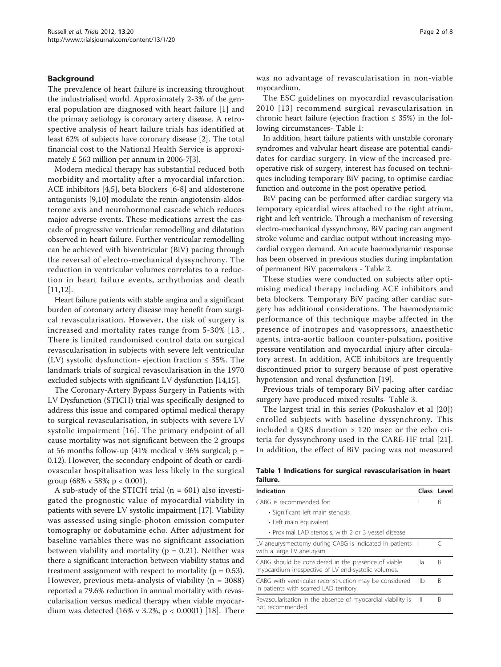# Background

The prevalence of heart failure is increasing throughout the industrialised world. Approximately 2-3% of the general population are diagnosed with heart failure [[1\]](#page-6-0) and the primary aetiology is coronary artery disease. A retrospective analysis of heart failure trials has identified at least 62% of subjects have coronary disease [[2\]](#page-6-0). The total financial cost to the National Health Service is approximately £ 563 million per annum in 2006-7[[3](#page-6-0)].

Modern medical therapy has substantial reduced both morbidity and mortality after a myocardial infarction. ACE inhibitors [\[4](#page-6-0),[5\]](#page-6-0), beta blockers [\[6](#page-7-0)-[8\]](#page-7-0) and aldosterone antagonists [[9,10](#page-7-0)] modulate the renin-angiotensin-aldosterone axis and neurohormonal cascade which reduces major adverse events. These medications arrest the cascade of progressive ventricular remodelling and dilatation observed in heart failure. Further ventricular remodelling can be achieved with biventricular (BiV) pacing through the reversal of electro-mechanical dyssynchrony. The reduction in ventricular volumes correlates to a reduction in heart failure events, arrhythmias and death [[11,12\]](#page-7-0).

Heart failure patients with stable angina and a significant burden of coronary artery disease may benefit from surgical revascularisation. However, the risk of surgery is increased and mortality rates range from 5-30% [\[13\]](#page-7-0). There is limited randomised control data on surgical revascularisation in subjects with severe left ventricular (LV) systolic dysfunction- ejection fraction  $\leq$  35%. The landmark trials of surgical revascularisation in the 1970 excluded subjects with significant LV dysfunction [\[14,15](#page-7-0)].

The Coronary-Artery Bypass Surgery in Patients with LV Dysfunction (STICH) trial was specifically designed to address this issue and compared optimal medical therapy to surgical revascularisation, in subjects with severe LV systolic impairment [\[16\]](#page-7-0). The primary endpoint of all cause mortality was not significant between the 2 groups at 56 months follow-up (41% medical v 36% surgical;  $p =$ 0.12). However, the secondary endpoint of death or cardiovascular hospitalisation was less likely in the surgical group (68% v 58%; p < 0.001).

A sub-study of the STICH trial  $(n = 601)$  also investigated the prognostic value of myocardial viability in patients with severe LV systolic impairment [\[17\]](#page-7-0). Viability was assessed using single-photon emission computer tomography or dobutamine echo. After adjustment for baseline variables there was no significant association between viability and mortality ( $p = 0.21$ ). Neither was there a significant interaction between viability status and treatment assignment with respect to mortality ( $p = 0.53$ ). However, previous meta-analysis of viability ( $n = 3088$ ) reported a 79.6% reduction in annual mortality with revascularisation versus medical therapy when viable myocardium was detected (16% v 3.2%, p < 0.0001) [\[18](#page-7-0)]. There was no advantage of revascularisation in non-viable myocardium.

The ESC guidelines on myocardial revascularisation 2010 [[13\]](#page-7-0) recommend surgical revascularisation in chronic heart failure (ejection fraction  $\leq$  35%) in the following circumstances- Table 1:

In addition, heart failure patients with unstable coronary syndromes and valvular heart disease are potential candidates for cardiac surgery. In view of the increased preoperative risk of surgery, interest has focused on techniques including temporary BiV pacing, to optimise cardiac function and outcome in the post operative period.

BiV pacing can be performed after cardiac surgery via temporary epicardial wires attached to the right atrium, right and left ventricle. Through a mechanism of reversing electro-mechanical dyssynchrony, BiV pacing can augment stroke volume and cardiac output without increasing myocardial oxygen demand. An acute haemodynamic response has been observed in previous studies during implantation of permanent BiV pacemakers - Table [2.](#page-2-0)

These studies were conducted on subjects after optimising medical therapy including ACE inhibitors and beta blockers. Temporary BiV pacing after cardiac surgery has additional considerations. The haemodynamic performance of this technique maybe affected in the presence of inotropes and vasopressors, anaesthetic agents, intra-aortic balloon counter-pulsation, positive pressure ventilation and myocardial injury after circulatory arrest. In addition, ACE inhibitors are frequently discontinued prior to surgery because of post operative hypotension and renal dysfunction [\[19\]](#page-7-0).

Previous trials of temporary BiV pacing after cardiac surgery have produced mixed results- Table [3.](#page-2-0)

The largest trial in this series (Pokushalov et al [[20](#page-7-0)]) enrolled subjects with baseline dyssynchrony. This included a QRS duration > 120 msec or the echo criteria for dyssynchrony used in the CARE-HF trial [[21](#page-7-0)]. In addition, the effect of BiV pacing was not measured

Table 1 Indications for surgical revascularisation in heart failure.

| Indication                                                                                                 |                | Class Level |
|------------------------------------------------------------------------------------------------------------|----------------|-------------|
| CABG is recommended for:                                                                                   |                | R           |
| • Significant left main stenosis                                                                           |                |             |
| • Left main equivalent                                                                                     |                |             |
| • Proximal LAD stenosis, with 2 or 3 vessel disease                                                        |                |             |
| LV aneurysmectomy during CABG is indicated in patients<br>with a large LV aneurysm.                        |                |             |
| CABG should be considered in the presence of viable<br>myocardium irrespective of LV end-systolic volumes. | lla            | R           |
| CABG with ventricular reconstruction may be considered<br>in patients with scarred LAD territory.          | IIb            | R           |
| Revascularisation in the absence of myocardial viability is<br>not recommended.                            | $\mathsf{III}$ | R           |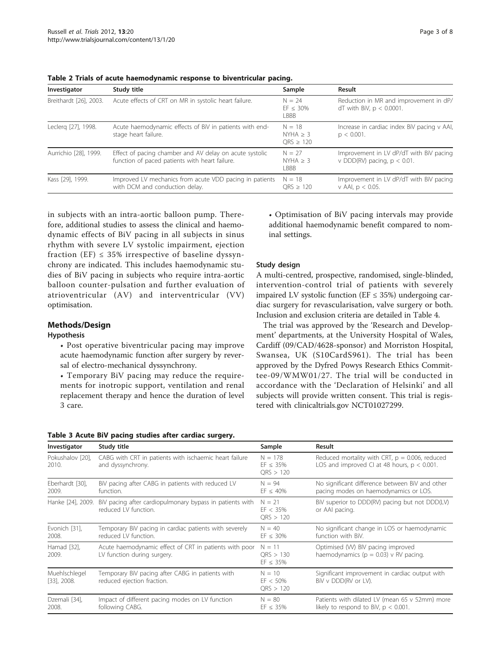| Investigator           | Study title                                                                                               | Sample                                      | Result                                                                    |
|------------------------|-----------------------------------------------------------------------------------------------------------|---------------------------------------------|---------------------------------------------------------------------------|
| Breithardt [26], 2003. | Acute effects of CRT on MR in systolic heart failure.                                                     | $N = 24$<br>$FF < 30\%$<br>I BBB            | Reduction in MR and improvement in dP/<br>$dT$ with BiV, $p < 0.0001$ .   |
| Leclerg [27], 1998.    | Acute haemodynamic effects of BiV in patients with end-<br>stage heart failure.                           | $N = 18$<br>NYHA $\geq$ 3<br>$ORS \geq 120$ | Increase in cardiac index BiV pacing v AAI,<br>$p < 0.001$ .              |
| Aurrichio [28], 1999.  | Effect of pacing chamber and AV delay on acute systolic<br>function of paced patients with heart failure. | $N = 27$<br>NYHA > 3<br><b>BBB</b>          | Improvement in LV dP/dT with BiV pacing<br>v DDD(RV) pacing, $p < 0.01$ . |
| Kass [29], 1999.       | Improved LV mechanics from acute VDD pacing in patients<br>with DCM and conduction delay.                 | $N = 18$<br>ORS > 120                       | Improvement in LV dP/dT with BiV pacing<br>v AAI, $p < 0.05$ .            |

<span id="page-2-0"></span>Table 2 Trials of acute haemodynamic response to biventricular pacing.

in subjects with an intra-aortic balloon pump. Therefore, additional studies to assess the clinical and haemodynamic effects of BiV pacing in all subjects in sinus rhythm with severe LV systolic impairment, ejection fraction (EF)  $\leq$  35% irrespective of baseline dyssynchrony are indicated. This includes haemodynamic studies of BiV pacing in subjects who require intra-aortic balloon counter-pulsation and further evaluation of atrioventricular (AV) and interventricular (VV) optimisation.

# Methods/Design

#### Hypothesis

• Post operative biventricular pacing may improve acute haemodynamic function after surgery by reversal of electro-mechanical dyssynchrony.

• Temporary BiV pacing may reduce the requirements for inotropic support, ventilation and renal replacement therapy and hence the duration of level 3 care.

# Table 3 Acute BiV pacing studies after cardiac surgery.

• Optimisation of BiV pacing intervals may provide additional haemodynamic benefit compared to nominal settings.

# Study design

A multi-centred, prospective, randomised, single-blinded, intervention-control trial of patients with severely impaired LV systolic function ( $EF \leq 35\%$ ) undergoing cardiac surgery for revascularisation, valve surgery or both. Inclusion and exclusion criteria are detailed in Table [4](#page-3-0).

The trial was approved by the 'Research and Development' departments, at the University Hospital of Wales, Cardiff (09/CAD/4628-sponsor) and Morriston Hospital, Swansea, UK (S10CardS961). The trial has been approved by the Dyfred Powys Research Ethics Committee-09/WMW01/27. The trial will be conducted in accordance with the 'Declaration of Helsinki' and all subjects will provide written consent. This trial is registered with clinicaltrials.gov NCT01027299.

|                              | a really provided alamina area. The same and delight                                  |                                          |                                                                                                     |
|------------------------------|---------------------------------------------------------------------------------------|------------------------------------------|-----------------------------------------------------------------------------------------------------|
| Investigator                 | Study title                                                                           | Sample                                   | Result                                                                                              |
| Pokushalov [20],<br>2010.    | CABG with CRT in patients with ischaemic heart failure<br>and dyssynchrony.           | $N = 178$<br>$EF \leq 35\%$<br>ORS > 120 | Reduced mortality with CRT, $p = 0.006$ , reduced<br>LOS and improved CI at 48 hours, $p < 0.001$ . |
| Eberhardt [30],<br>2009.     | BiV pacing after CABG in patients with reduced LV<br>function.                        | $N = 94$<br>$EF \leq 40\%$               | No significant difference between BiV and other<br>pacing modes on haemodynamics or LOS.            |
| Hanke [24], 2009.            | BiV pacing after cardiopulmonary bypass in patients with<br>reduced LV function.      | $N = 21$<br>$EF < 35\%$<br>ORS > 120     | BiV superior to DDD(RV) pacing but not DDD(LV)<br>or AAI pacing.                                    |
| Evonich [31],<br>2008.       | Temporary BiV pacing in cardiac patients with severely<br>reduced LV function.        | $N = 40$<br>$EF \leq 30\%$               | No significant change in LOS or haemodynamic<br>function with BiV.                                  |
| Hamad [32],<br>2009.         | Acute haemodynamic effect of CRT in patients with poor<br>LV function during surgery. | $N = 11$<br>ORS > 130<br>$EF \leq 35\%$  | Optimised (W) BIV pacing improved<br>haemodynamics ( $p = 0.03$ ) v RV pacing.                      |
| Muehlschlegel<br>[33], 2008. | Temporary BiV pacing after CABG in patients with<br>reduced ejection fraction.        | $N = 10$<br>FF < 50%<br>ORS > 120        | Significant improvement in cardiac output with<br>BiV v DDD(RV or LV).                              |
| Dzemali [34],<br>2008.       | Impact of different pacing modes on LV function<br>following CABG.                    | $N = 80$<br>$EF \leq 35\%$               | Patients with dilated LV (mean 65 v 52mm) more<br>likely to respond to BiV, $p < 0.001$ .           |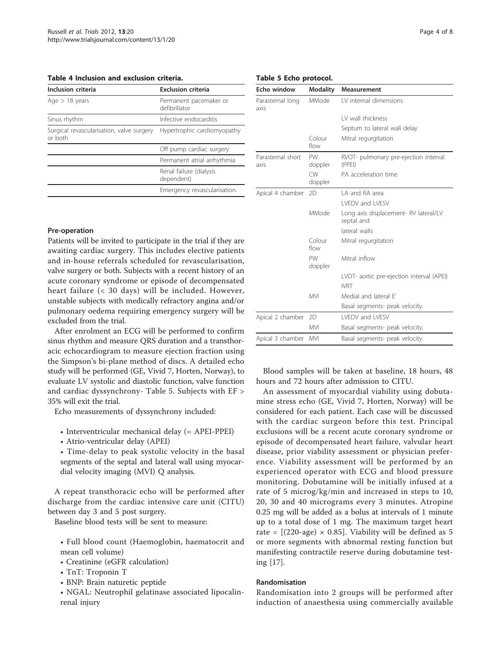# <span id="page-3-0"></span>Table 4 Inclusion and exclusion criteria.

| Inclusion criteria                                   | <b>Exclusion criteria</b>               |
|------------------------------------------------------|-----------------------------------------|
| Age $> 18$ years                                     | Permanent pacemaker or<br>defibrillator |
| Sinus rhythm                                         | Infective endocarditis                  |
| Surgical revascularisation, valve surgery<br>or both | Hypertrophic cardiomyopathy             |
|                                                      | Off pump cardiac surgery                |
|                                                      | Permanent atrial arrhythmia             |
|                                                      | Renal failure (dialysis<br>dependent)   |
|                                                      | Emergency revascularisation.            |

#### Pre-operation

Patients will be invited to participate in the trial if they are awaiting cardiac surgery. This includes elective patients and in-house referrals scheduled for revascularisation, valve surgery or both. Subjects with a recent history of an acute coronary syndrome or episode of decompensated heart failure (< 30 days) will be included. However, unstable subjects with medically refractory angina and/or pulmonary oedema requiring emergency surgery will be excluded from the trial.

After enrolment an ECG will be performed to confirm sinus rhythm and measure QRS duration and a transthoracic echocardiogram to measure ejection fraction using the Simpson's bi-plane method of discs. A detailed echo study will be performed (GE, Vivid 7, Horten, Norway), to evaluate LV systolic and diastolic function, valve function and cardiac dyssynchrony- Table 5. Subjects with EF > 35% will exit the trial.

Echo measurements of dyssynchrony included:

- Interventricular mechanical delay (= APEI-PPEI)
- Atrio-ventricular delay (APEI)
- Time-delay to peak systolic velocity in the basal segments of the septal and lateral wall using myocardial velocity imaging (MVI) Q analysis.

A repeat transthoracic echo will be performed after discharge from the cardiac intensive care unit (CITU) between day 3 and 5 post surgery.

Baseline blood tests will be sent to measure:

- Full blood count (Haemoglobin, haematocrit and mean cell volume)
- Creatinine (eGFR calculation)
- TnT: Troponin T
- BNP: Brain naturetic peptide

• NGAL: Neutrophil gelatinase associated lipocalinrenal injury

|  |  |  | Table 5 Echo protocol. |
|--|--|--|------------------------|
|--|--|--|------------------------|

| Echo window               | <b>Modality</b>      | <b>Measurement</b>                                  |
|---------------------------|----------------------|-----------------------------------------------------|
| Parasternal long<br>axis  | MMode                | IV internal dimensions                              |
|                           |                      | IV wall thickness                                   |
|                           |                      | Septum to lateral wall delay                        |
|                           | Colour<br>flow       | Mitral regurgitation                                |
| Parasternal short<br>axis | <b>PW</b><br>doppler | RVOT- pulmonary pre-ejection interval<br>(PPEI)     |
|                           | CW<br>doppler        | PA acceleration time                                |
| Apical 4 chamber          | 2D                   | I A and RA area                                     |
|                           |                      | I VEDV and I VESV                                   |
|                           | MMode                | Long axis displacement- RV lateral/LV<br>septal and |
|                           |                      | lateral walls                                       |
|                           | Colour<br>flow       | Mitral regurgitation                                |
|                           | PW<br>doppler        | Mitral inflow                                       |
|                           |                      | LVOT- aortic pre-ejection interval (APEI)           |
|                           |                      | <b>IVRT</b>                                         |
|                           | <b>MVI</b>           | Medial and lateral F'                               |
|                           |                      | Basal segments- peak velocity.                      |
| Apical 2 chamber          | 2D                   | <b>I VEDV and I VESV</b>                            |
|                           | <b>MVI</b>           | Basal segments- peak velocity.                      |
| Apical 3 chamber          | <b>MVI</b>           | Basal segments- peak velocity.                      |

Blood samples will be taken at baseline, 18 hours, 48 hours and 72 hours after admission to CITU.

An assessment of myocardial viability using dobutamine stress echo (GE, Vivid 7, Horten, Norway) will be considered for each patient. Each case will be discussed with the cardiac surgeon before this test. Principal exclusions will be a recent acute coronary syndrome or episode of decompensated heart failure, valvular heart disease, prior viability assessment or physician preference. Viability assessment will be performed by an experienced operator with ECG and blood pressure monitoring. Dobutamine will be initially infused at a rate of 5 microg/kg/min and increased in steps to 10, 20, 30 and 40 micrograms every 3 minutes. Atropine 0.25 mg will be added as a bolus at intervals of 1 minute up to a total dose of 1 mg. The maximum target heart rate =  $[(220 \text{-age}) \times 0.85]$ . Viability will be defined as 5 or more segments with abnormal resting function but manifesting contractile reserve during dobutamine testing [[17\]](#page-7-0).

#### Randomisation

Randomisation into 2 groups will be performed after induction of anaesthesia using commercially available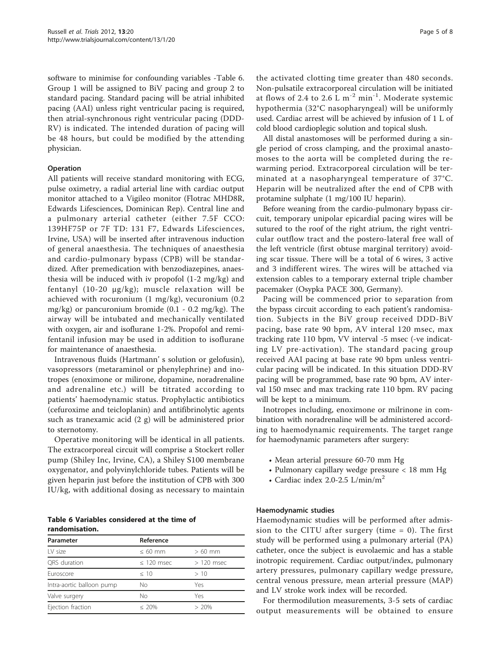software to minimise for confounding variables -Table 6. Group 1 will be assigned to BiV pacing and group 2 to standard pacing. Standard pacing will be atrial inhibited pacing (AAI) unless right ventricular pacing is required, then atrial-synchronous right ventricular pacing (DDD-RV) is indicated. The intended duration of pacing will be 48 hours, but could be modified by the attending physician.

#### Operation

All patients will receive standard monitoring with ECG, pulse oximetry, a radial arterial line with cardiac output monitor attached to a Vigileo monitor (Flotrac MHD8R, Edwards Lifesciences, Dominican Rep). Central line and a pulmonary arterial catheter (either 7.5F CCO: 139HF75P or 7F TD: 131 F7, Edwards Lifesciences, Irvine, USA) will be inserted after intravenous induction of general anaesthesia. The techniques of anaesthesia and cardio-pulmonary bypass (CPB) will be standardized. After premedication with benzodiazepines, anaesthesia will be induced with iv propofol (1-2 mg/kg) and fentanyl (10-20 μg/kg); muscle relaxation will be achieved with rocuronium (1 mg/kg), vecuronium (0.2 mg/kg) or pancuronium bromide (0.1 - 0.2 mg/kg). The airway will be intubated and mechanically ventilated with oxygen, air and isoflurane 1-2%. Propofol and remifentanil infusion may be used in addition to isoflurane for maintenance of anaesthesia.

Intravenous fluids (Hartmann' s solution or gelofusin), vasopressors (metaraminol or phenylephrine) and inotropes (enoximone or milirone, dopamine, noradrenaline and adrenaline etc.) will be titrated according to patients' haemodynamic status. Prophylactic antibiotics (cefuroxime and teicloplanin) and antifibrinolytic agents such as tranexamic acid (2 g) will be administered prior to sternotomy.

Operative monitoring will be identical in all patients. The extracorporeal circuit will comprise a Stockert roller pump (Shiley Inc, Irvine, CA), a Shiley S100 membrane oxygenator, and polyvinylchloride tubes. Patients will be given heparin just before the institution of CPB with 300 IU/kg, with additional dosing as necessary to maintain

Table 6 Variables considered at the time of randomisation.

| Parameter                 | Reference       |             |
|---------------------------|-----------------|-------------|
| IV size                   | $< 60$ mm       | $>60$ mm    |
| QRS duration              | $\leq$ 120 msec | $>120$ msec |
| Euroscore                 | < 10            | >10         |
| Intra-aortic balloon pump | Nο              | Yes         |
| Valve surgery             | Nο              | Yes         |
| Ejection fraction         | $\leq 20\%$     | > 20%       |

the activated clotting time greater than 480 seconds. Non-pulsatile extracorporeal circulation will be initiated at flows of 2.4 to 2.6 L  $m^{-2}$  min<sup>-1</sup>. Moderate systemic hypothermia (32°C nasopharyngeal) will be uniformly used. Cardiac arrest will be achieved by infusion of 1 L of cold blood cardioplegic solution and topical slush.

All distal anastomoses will be performed during a single period of cross clamping, and the proximal anastomoses to the aorta will be completed during the rewarming period. Extracorporeal circulation will be terminated at a nasopharyngeal temperature of 37°C. Heparin will be neutralized after the end of CPB with protamine sulphate (1 mg/100 IU heparin).

Before weaning from the cardio-pulmonary bypass circuit, temporary unipolar epicardial pacing wires will be sutured to the roof of the right atrium, the right ventricular outflow tract and the postero-lateral free wall of the left ventricle (first obtuse marginal territory) avoiding scar tissue. There will be a total of 6 wires, 3 active and 3 indifferent wires. The wires will be attached via extension cables to a temporary external triple chamber pacemaker (Osypka PACE 300, Germany).

Pacing will be commenced prior to separation from the bypass circuit according to each patient's randomisation. Subjects in the BiV group received DDD-BiV pacing, base rate 90 bpm, AV interal 120 msec, max tracking rate 110 bpm, VV interval -5 msec (-ve indicating LV pre-activation). The standard pacing group received AAI pacing at base rate 90 bpm unless ventricular pacing will be indicated. In this situation DDD-RV pacing will be programmed, base rate 90 bpm, AV interval 150 msec and max tracking rate 110 bpm. RV pacing will be kept to a minimum.

Inotropes including, enoximone or milrinone in combination with noradrenaline will be administered according to haemodynamic requirements. The target range for haemodynamic parameters after surgery:

- Mean arterial pressure 60-70 mm Hg
- Pulmonary capillary wedge pressure < 18 mm Hg
- Cardiac index 2.0-2.5  $L/min/m^2$

#### Haemodynamic studies

Haemodynamic studies will be performed after admission to the CITU after surgery (time  $= 0$ ). The first study will be performed using a pulmonary arterial (PA) catheter, once the subject is euvolaemic and has a stable inotropic requirement. Cardiac output/index, pulmonary artery pressures, pulmonary capillary wedge pressure, central venous pressure, mean arterial pressure (MAP) and LV stroke work index will be recorded.

For thermodilution measurements, 3-5 sets of cardiac output measurements will be obtained to ensure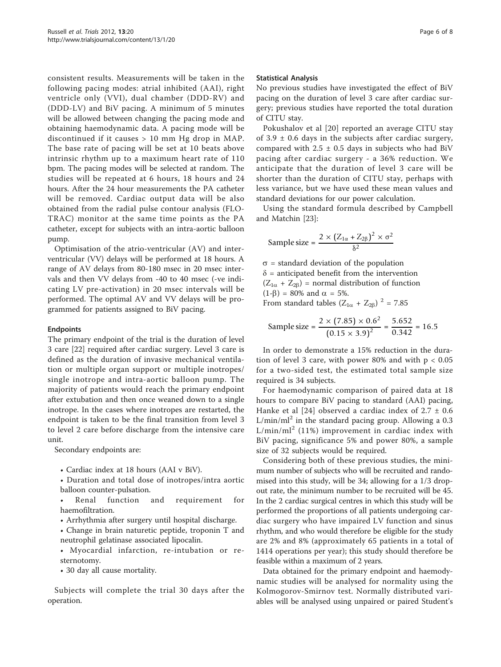consistent results. Measurements will be taken in the following pacing modes: atrial inhibited (AAI), right ventricle only (VVI), dual chamber (DDD-RV) and (DDD-LV) and BiV pacing. A minimum of 5 minutes will be allowed between changing the pacing mode and obtaining haemodynamic data. A pacing mode will be discontinued if it causes > 10 mm Hg drop in MAP. The base rate of pacing will be set at 10 beats above intrinsic rhythm up to a maximum heart rate of 110 bpm. The pacing modes will be selected at random. The studies will be repeated at 6 hours, 18 hours and 24 hours. After the 24 hour measurements the PA catheter will be removed. Cardiac output data will be also obtained from the radial pulse contour analysis (FLO-TRAC) monitor at the same time points as the PA catheter, except for subjects with an intra-aortic balloon pump.

Optimisation of the atrio-ventricular (AV) and interventricular (VV) delays will be performed at 18 hours. A range of AV delays from 80-180 msec in 20 msec intervals and then VV delays from -40 to 40 msec (-ve indicating LV pre-activation) in 20 msec intervals will be performed. The optimal AV and VV delays will be programmed for patients assigned to BiV pacing.

# **Endpoints**

The primary endpoint of the trial is the duration of level 3 care [\[22\]](#page-7-0) required after cardiac surgery. Level 3 care is defined as the duration of invasive mechanical ventilation or multiple organ support or multiple inotropes/ single inotrope and intra-aortic balloon pump. The majority of patients would reach the primary endpoint after extubation and then once weaned down to a single inotrope. In the cases where inotropes are restarted, the endpoint is taken to be the final transition from level 3 to level 2 care before discharge from the intensive care unit.

Secondary endpoints are:

• Cardiac index at 18 hours (AAI v BiV).

• Duration and total dose of inotropes/intra aortic balloon counter-pulsation.

Renal function and requirement for haemofiltration.

• Arrhythmia after surgery until hospital discharge.

• Change in brain naturetic peptide, troponin T and neutrophil gelatinase associated lipocalin.

• Myocardial infarction, re-intubation or resternotomy.

• 30 day all cause mortality.

Subjects will complete the trial 30 days after the operation.

# Statistical Analysis

No previous studies have investigated the effect of BiV pacing on the duration of level 3 care after cardiac surgery; previous studies have reported the total duration of CITU stay.

Pokushalov et al [[20\]](#page-7-0) reported an average CITU stay of  $3.9 \pm 0.6$  days in the subjects after cardiac surgery, compared with  $2.5 \pm 0.5$  days in subjects who had BiV pacing after cardiac surgery - a 36% reduction. We anticipate that the duration of level 3 care will be shorter than the duration of CITU stay, perhaps with less variance, but we have used these mean values and standard deviations for our power calculation.

Using the standard formula described by Campbell and Matchin [[23](#page-7-0)]:

Sample size = 
$$
\frac{2 \times (Z_{1\alpha} + Z_{2\beta})^2 \times \sigma^2}{\delta^2}
$$

 $\sigma$  = standard deviation of the population  $\delta$  = anticipated benefit from the intervention  $(Z_{1\alpha} + Z_{2\beta})$  = normal distribution of function  $(1-\beta) = 80\%$  and  $\alpha = 5\%$ . From standard tables  $(Z_{1\alpha} + Z_{2\beta})^2 = 7.85$ 

Sample size = 
$$
\frac{2 \times (7.85) \times 0.6^2}{(0.15 \times 3.9)^2} = \frac{5.652}{0.342} = 16.5
$$

In order to demonstrate a 15% reduction in the duration of level 3 care, with power 80% and with  $p < 0.05$ for a two-sided test, the estimated total sample size required is 34 subjects.

For haemodynamic comparison of paired data at 18 hours to compare BiV pacing to standard (AAI) pacing, Hanke et al [[24\]](#page-7-0) observed a cardiac index of  $2.7 \pm 0.6$  $L/min/ml<sup>2</sup>$  in the standard pacing group. Allowing a 0.3  $L/min/ml<sup>2</sup>$  (11%) improvement in cardiac index with BiV pacing, significance 5% and power 80%, a sample size of 32 subjects would be required.

Considering both of these previous studies, the minimum number of subjects who will be recruited and randomised into this study, will be 34; allowing for a 1/3 dropout rate, the minimum number to be recruited will be 45. In the 2 cardiac surgical centres in which this study will be performed the proportions of all patients undergoing cardiac surgery who have impaired LV function and sinus rhythm, and who would therefore be eligible for the study are 2% and 8% (approximately 65 patients in a total of 1414 operations per year); this study should therefore be feasible within a maximum of 2 years.

Data obtained for the primary endpoint and haemodynamic studies will be analysed for normality using the Kolmogorov-Smirnov test. Normally distributed variables will be analysed using unpaired or paired Student's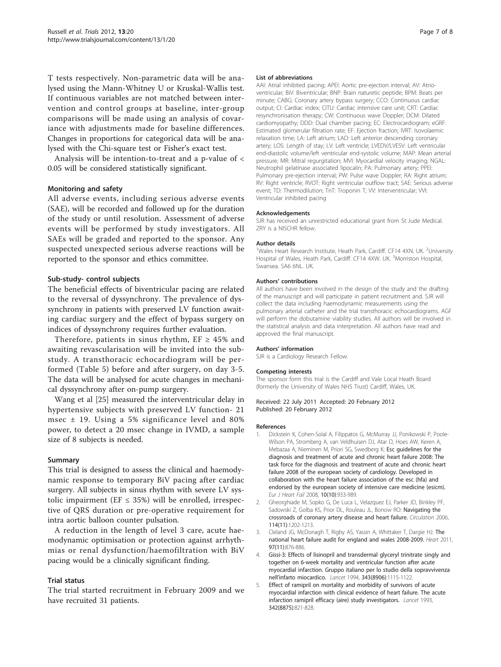<span id="page-6-0"></span>T tests respectively. Non-parametric data will be analysed using the Mann-Whitney U or Kruskal-Wallis test. If continuous variables are not matched between intervention and control groups at baseline, inter-group comparisons will be made using an analysis of covariance with adjustments made for baseline differences. Changes in proportions for categorical data will be analysed with the Chi-square test or Fisher's exact test.

Analysis will be intention-to-treat and a p-value of < 0.05 will be considered statistically significant.

### Monitoring and safety

All adverse events, including serious adverse events (SAE), will be recorded and followed up for the duration of the study or until resolution. Assessment of adverse events will be performed by study investigators. All SAEs will be graded and reported to the sponsor. Any suspected unexpected serious adverse reactions will be reported to the sponsor and ethics committee.

# Sub-study- control subjects

The beneficial effects of biventricular pacing are related to the reversal of dyssynchrony. The prevalence of dyssynchrony in patients with preserved LV function awaiting cardiac surgery and the effect of bypass surgery on indices of dyssynchrony requires further evaluation.

Therefore, patients in sinus rhythm,  $EF \geq 45\%$  and awaiting revascularisation will be invited into the substudy. A transthoracic echocardiogram will be performed (Table [5](#page-3-0)) before and after surgery, on day 3-5. The data will be analysed for acute changes in mechanical dyssynchrony after on-pump surgery.

Wang et al [[25](#page-7-0)] measured the interventricular delay in hypertensive subjects with preserved LV function- 21 msec ± 19. Using a 5% significance level and 80% power, to detect a 20 msec change in IVMD, a sample size of 8 subjects is needed.

#### Summary

This trial is designed to assess the clinical and haemodynamic response to temporary BiV pacing after cardiac surgery. All subjects in sinus rhythm with severe LV systolic impairment (EF  $\leq$  35%) will be enrolled, irrespective of QRS duration or pre-operative requirement for intra aortic balloon counter pulsation.

A reduction in the length of level 3 care, acute haemodynamic optimisation or protection against arrhythmias or renal dysfunction/haemofiltration with BiV pacing would be a clinically significant finding.

### Trial status

The trial started recruitment in February 2009 and we have recruited 31 patients.

#### List of abbreviations

AAI: Atrial inhibited pacing; APEI: Aortic pre-ejection interval; AV: Atrioventricular; BiV: Biventricular; BNP: Brain naturetic peptide; BPM: Beats per minute; CABG: Coronary artery bypass surgery; CCO: Continuous cardiac output; CI: Cardiac index; CITU: Cardiac intensive care unit; CRT: Cardiac resynchronisation therapy; CW: Continuous wave Doppler; DCM: Dilated cardiomyopathy; DDD: Dual chamber pacing; EC: Electrocardiogram; eGRF: Estimated glomerular filtration rate; EF: Ejection fraction; IVRT: Isovolaemic relaxation time; LA: Left atrium; LAD: Left anterior descending coronary artery; LOS: Length of stay; LV: Left ventricle; LVEDV/LVESV: Left ventricular end-diastolic volume/left ventricular end-systolic volume; MAP: Mean arterial pressure; MR: Mitral regurgitation; MVI: Myocardial velocity imaging; NGAL: Neutrophil gelatinase associated lipocalin; PA: Pulmonary artery; PPEI: Pulmonary pre-ejection interval; PW: Pulse wave Doppler; RA: Right atrium; RV: Right ventricle; RVOT: Right ventricular outflow tract; SAE: Serious adverse event; TD: Thermodilution; TnT: Troponin T; VV: Interventricular; VVI: Ventricular inhibited pacing

#### Acknowledgements

SJR has received an unrestricted educational grant from St Jude Medical. ZRY is a NISCHR fellow.

#### Author details

<sup>1</sup>Wales Heart Research Institute, Heath Park, Cardiff. CF14 4XN. UK. <sup>2</sup>University Hospital of Wales, Heath Park, Cardiff. CF14 4XW. UK. <sup>3</sup>Morriston Hospital Swansea. SA6 6NL. UK.

#### Authors' contributions

All authors have been involved in the design of the study and the drafting of the manuscript and will participate in patient recruitment and. SJR will collect the data including haemodynamic measurements using the pulmonary arterial catheter and the trial transthoracic echocardiograms. AGF will perform the dobutamine viability studies. All authors will be involved in the statistical analysis and data interpretation. All authors have read and approved the final manuscript.

#### Authors' information

SJR is a Cardiology Research Fellow.

#### Competing interests

The sponsor form this trial is the Cardiff and Vale Local Heath Board (formerly the University of Wales NHS Trust) Cardiff, Wales, UK.

#### Received: 22 July 2011 Accepted: 20 February 2012 Published: 20 February 2012

#### References

- Dickstein K, Cohen-Solal A, Filippatos G, McMurray JJ, Ponikowski P, Poole-Wilson PA, Stromberg A, van Veldhuisen DJ, Atar D, Hoes AW, Keren A, Mebazaa A, Nieminen M, Priori SG, Swedberg K: [Esc guidelines for the](http://www.ncbi.nlm.nih.gov/pubmed/18826876?dopt=Abstract) [diagnosis and treatment of acute and chronic heart failure 2008: The](http://www.ncbi.nlm.nih.gov/pubmed/18826876?dopt=Abstract) [task force for the diagnosis and treatment of acute and chronic heart](http://www.ncbi.nlm.nih.gov/pubmed/18826876?dopt=Abstract) [failure 2008 of the european society of cardiology. Developed in](http://www.ncbi.nlm.nih.gov/pubmed/18826876?dopt=Abstract) [collaboration with the heart failure association of the esc \(hfa\) and](http://www.ncbi.nlm.nih.gov/pubmed/18826876?dopt=Abstract) [endorsed by the european society of intensive care medicine \(esicm\).](http://www.ncbi.nlm.nih.gov/pubmed/18826876?dopt=Abstract) Eur J Heart Fail 2008, 10(10):933-989.
- 2. Gheorghiade M, Sopko G, De Luca L, Velazquez EJ, Parker JD, Binkley PF, Sadowski Z, Golba KS, Prior DL, Rouleau JL, Bonow RO: [Navigating the](http://www.ncbi.nlm.nih.gov/pubmed/16966596?dopt=Abstract) [crossroads of coronary artery disease and heart failure.](http://www.ncbi.nlm.nih.gov/pubmed/16966596?dopt=Abstract) Circulation 2006, 114(11):1202-1213.
- 3. Cleland JG, McDonagh T, Rigby AS, Yassin A, Whittaker T, Dargie HJ: [The](http://www.ncbi.nlm.nih.gov/pubmed/21173198?dopt=Abstract) [national heart failure audit for england and wales 2008-2009.](http://www.ncbi.nlm.nih.gov/pubmed/21173198?dopt=Abstract) Heart 2011, 97(11):876-886.
- 4. Gissi-3: Effects of lisinopril and transdermal glyceryl trinitrate singly and together on 6-week mortality and ventricular function after acute myocardial infarction. Gruppo italiano per lo studio della sopravvivenza nell'infarto miocardico. Lancet 1994, 343(8906):1115-1122.
- Effect of ramipril on mortality and morbidity of survivors of acute myocardial infarction with clinical evidence of heart failure. The acute infarction ramipril efficacy (aire) study investigators. Lancet 1993, 342(8875):821-828.